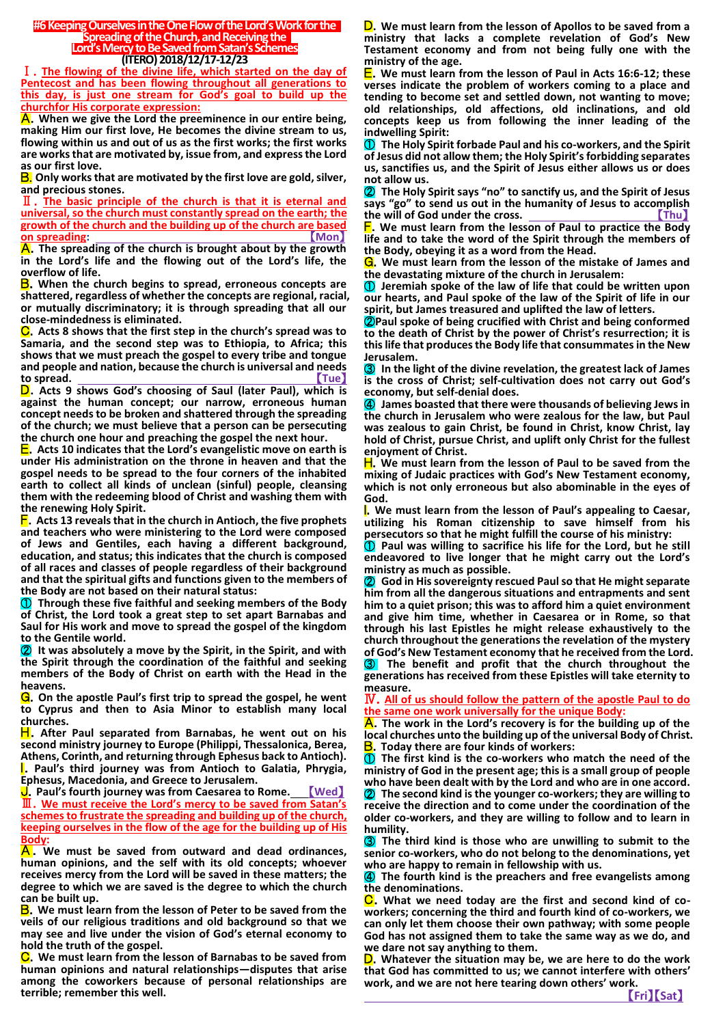#### **#6 Keeping Ourselves in the One Flow of the Lord's Workfor the Spreading of the Church, and Receiving the Lord's Mercy to Be Saved from Satan's Schemes (ITERO) 2018/12/17-12/23**

Ⅰ.**The flowing of the divine life, which started on the day of Pentecost and has been flowing throughout all generations to this day, is just one stream for God's goal to build up the churchfor His corporate expression:**

A.**When we give the Lord the preeminence in our entire being, making Him our first love, He becomes the divine stream to us, flowing within us and out of us as the first works; the first works are works that are motivated by, issue from, and express the Lord as our first love.**

B. **Only works that are motivated by the first love are gold, silver, and precious stones.**

Ⅱ.**The basic principle of the church is that it is eternal and universal, so the church must constantly spread on the earth; the growth of the church and the building up of the church are based on spreading:** 

A.**The spreading of the church is brought about by the growth in the Lord's life and the flowing out of the Lord's life, the overflow of life.**

B.**When the church begins to spread, erroneous concepts are shattered, regardless of whether the concepts are regional, racial, or mutually discriminatory; it is through spreading that all our close-mindedness is eliminated.**

C.**Acts 8 shows that the first step in the church's spread was to Samaria, and the second step was to Ethiopia, to Africa; this shows that we must preach the gospel to every tribe and tongue and people and nation, because the church is universal and needs**  to spread.

D.**Acts 9 shows God's choosing of Saul (later Paul), which is against the human concept; our narrow, erroneous human concept needs to be broken and shattered through the spreading of the church; we must believe that a person can be persecuting the church one hour and preaching the gospel the next hour.**

E.**Acts 10 indicates that the Lord's evangelistic move on earth is under His administration on the throne in heaven and that the gospel needs to be spread to the four corners of the inhabited earth to collect all kinds of unclean (sinful) people, cleansing them with the redeeming blood of Christ and washing them with the renewing Holy Spirit.**

F.**Acts 13 reveals that in the church in Antioch, the five prophets and teachers who were ministering to the Lord were composed of Jews and Gentiles, each having a different background, education, and status; this indicates that the church is composed of all races and classes of people regardless of their background and that the spiritual gifts and functions given to the members of the Body are not based on their natural status:**

① **Through these five faithful and seeking members of the Body of Christ, the Lord took a great step to set apart Barnabas and Saul for His work and move to spread the gospel of the kingdom to the Gentile world.**

② **It was absolutely a move by the Spirit, in the Spirit, and with the Spirit through the coordination of the faithful and seeking members of the Body of Christ on earth with the Head in the heavens.**

G.**On the apostle Paul's first trip to spread the gospel, he went to Cyprus and then to Asia Minor to establish many local churches.**

H.**After Paul separated from Barnabas, he went out on his second ministry journey to Europe (Philippi, Thessalonica, Berea, Athens, Corinth, and returning through Ephesus back to Antioch). I.** Paul's third journey was from Antioch to Galatia, Phrygia, **Ephesus, Macedonia, and Greece to Jerusalem.**

J.**Paul's fourth journey was from Caesarea to Rome.** 【**Wed**】 Ⅲ.**We must receive the Lord's mercy to be saved from Satan's schemes to frustrate the spreading and building up of the church, keeping ourselves in the flow of the age for the building up of His Body:**

A . **We must be saved from outward and dead ordinances, human opinions, and the self with its old concepts; whoever receives mercy from the Lord will be saved in these matters; the degree to which we are saved is the degree to which the church can be built up.**

B.**We must learn from the lesson of Peter to be saved from the veils of our religious traditions and old background so that we may see and live under the vision of God's eternal economy to hold the truth of the gospel.**

C.**We must learn from the lesson of Barnabas to be saved from human opinions and natural relationships—disputes that arise among the coworkers because of personal relationships are terrible; remember this well.**

D.**We must learn from the lesson of Apollos to be saved from a ministry that lacks a complete revelation of God's New Testament economy and from not being fully one with the ministry of the age.**

E.**We must learn from the lesson of Paul in Acts 16:6-12; these verses indicate the problem of workers coming to a place and tending to become set and settled down, not wanting to move; old relationships, old affections, old inclinations, and old concepts keep us from following the inner leading of the indwelling Spirit:**

① **The Holy Spirit forbade Paul and his co-workers, and the Spirit of Jesus did not allow them; the Holy Spirit's forbidding separates us, sanctifies us, and the Spirit of Jesus either allows us or does not allow us.**

② **The Holy Spirit says "no" to sanctify us, and the Spirit of Jesus says "go" to send us out in the humanity of Jesus to accomplish**  the will of God under the cross.

F.**We must learn from the lesson of Paul to practice the Body life and to take the word of the Spirit through the members of the Body, obeying it as a word from the Head.**

G.**We must learn from the lesson of the mistake of James and the devastating mixture of the church in Jerusalem:**

① **Jeremiah spoke of the law of life that could be written upon our hearts, and Paul spoke of the law of the Spirit of life in our spirit, but James treasured and uplifted the law of letters.**

②**Paul spoke of being crucified with Christ and being conformed to the death of Christ by the power of Christ's resurrection; it is this life that produces the Body life that consummates in the New Jerusalem.**

③ **In the light of the divine revelation, the greatest lack of James is the cross of Christ; self-cultivation does not carry out God's economy, but self-denial does.**

④ **James boasted that there were thousands of believing Jews in the church in Jerusalem who were zealous for the law, but Paul was zealous to gain Christ, be found in Christ, know Christ, lay hold of Christ, pursue Christ, and uplift only Christ for the fullest enjoyment of Christ.**

H.**We must learn from the lesson of Paul to be saved from the mixing of Judaic practices with God's New Testament economy, which is not only erroneous but also abominable in the eyes of God.**

I.**We must learn from the lesson of Paul's appealing to Caesar, utilizing his Roman citizenship to save himself from his persecutors so that he might fulfill the course of his ministry:**

① **Paul was willing to sacrifice his life for the Lord, but he still endeavored to live longer that he might carry out the Lord's ministry as much as possible.**

② **God in His sovereignty rescued Paul so that He might separate him from all the dangerous situations and entrapments and sent him to a quiet prison; this was to afford him a quiet environment and give him time, whether in Caesarea or in Rome, so that through his last Epistles he might release exhaustively to the church throughout the generations the revelation of the mystery of God's New Testament economy that he received from the Lord.**

③ **The benefit and profit that the church throughout the generations has received from these Epistles will take eternity to measure.**

Ⅳ.**All of us should follow the pattern of the apostle Paul to do the same one work universally for the unique Body:**

A.**The work in the Lord's recovery is for the building up of the local churches unto the building up of the universal Body of Christ.** B.**Today there are four kinds of workers:**

① **The first kind is the co-workers who match the need of the ministry of God in the present age; this is a small group of people who have been dealt with by the Lord and who are in one accord.** ② **The second kind is the younger co-workers; they are willing to receive the direction and to come under the coordination of the older co-workers, and they are willing to follow and to learn in humility.**

③ **The third kind is those who are unwilling to submit to the senior co-workers, who do not belong to the denominations, yet who are happy to remain in fellowship with us.**

④ **The fourth kind is the preachers and free evangelists among the denominations.**

**C**. What we need today are the first and second kind of co**workers; concerning the third and fourth kind of co-workers, we can only let them choose their own pathway; with some people God has not assigned them to take the same way as we do, and we dare not say anything to them.**

D.**Whatever the situation may be, we are here to do the work that God has committed to us; we cannot interfere with others' work, and we are not here tearing down others' work.**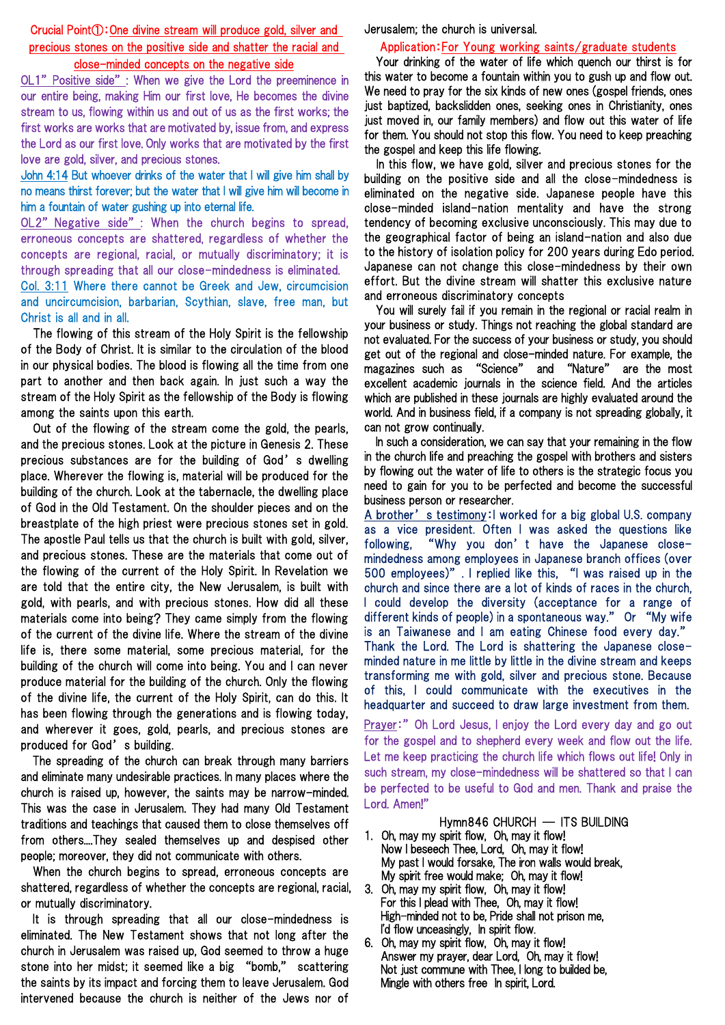#### Crucial Point①:One divine stream will produce gold, silver and precious stones on the positive side and shatter the racial and close-minded concepts on the negative side

OL1" Positive side": When we give the Lord the preeminence in our entire being, making Him our first love, He becomes the divine stream to us, flowing within us and out of us as the first works; the first works are works that are motivated by, issue from, and express the Lord as our first love. Only works that are motivated by the first love are gold, silver, and precious stones.

#### John 4:14 But whoever drinks of the water that I will give him shall by no means thirst forever; but the water that I will give him will become in him a fountain of water gushing up into eternal life.

OL2" Negative side": When the church begins to spread, erroneous concepts are shattered, regardless of whether the concepts are regional, racial, or mutually discriminatory; it is through spreading that all our close-mindedness is eliminated.

Col. 3:11 Where there cannot be Greek and Jew, circumcision and uncircumcision, barbarian, Scythian, slave, free man, but Christ is all and in all.

The flowing of this stream of the Holy Spirit is the fellowship of the Body of Christ. It is similar to the circulation of the blood in our physical bodies. The blood is flowing all the time from one part to another and then back again. In just such a way the stream of the Holy Spirit as the fellowship of the Body is flowing among the saints upon this earth.

Out of the flowing of the stream come the gold, the pearls, and the precious stones. Look at the picture in Genesis 2. These precious substances are for the building of God's dwelling place. Wherever the flowing is, material will be produced for the building of the church. Look at the tabernacle, the dwelling place of God in the Old Testament. On the shoulder pieces and on the breastplate of the high priest were precious stones set in gold. The apostle Paul tells us that the church is built with gold, silver, and precious stones. These are the materials that come out of the flowing of the current of the Holy Spirit. In Revelation we are told that the entire city, the New Jerusalem, is built with gold, with pearls, and with precious stones. How did all these materials come into being? They came simply from the flowing of the current of the divine life. Where the stream of the divine life is, there some material, some precious material, for the building of the church will come into being. You and I can never produce material for the building of the church. Only the flowing of the divine life, the current of the Holy Spirit, can do this. It has been flowing through the generations and is flowing today, and wherever it goes, gold, pearls, and precious stones are produced for God's building.

The spreading of the church can break through many barriers and eliminate many undesirable practices. In many places where the church is raised up, however, the saints may be narrow-minded. This was the case in Jerusalem. They had many Old Testament traditions and teachings that caused them to close themselves off from others....They sealed themselves up and despised other people; moreover, they did not communicate with others.

When the church begins to spread, erroneous concepts are shattered, regardless of whether the concepts are regional, racial, or mutually discriminatory.

It is through spreading that all our close-mindedness is eliminated. The New Testament shows that not long after the church in Jerusalem was raised up, God seemed to throw a huge stone into her midst; it seemed like a big "bomb," scattering the saints by its impact and forcing them to leave Jerusalem. God intervened because the church is neither of the Jews nor of

Jerusalem; the church is universal.

### Application:For Young working saints/graduate students

Your drinking of the water of life which quench our thirst is for this water to become a fountain within you to gush up and flow out. We need to pray for the six kinds of new ones (gospel friends, ones just baptized, backslidden ones, seeking ones in Christianity, ones just moved in, our family members) and flow out this water of life for them. You should not stop this flow. You need to keep preaching the gospel and keep this life flowing.

In this flow, we have gold, silver and precious stones for the building on the positive side and all the close-mindedness is eliminated on the negative side. Japanese people have this close-minded island-nation mentality and have the strong tendency of becoming exclusive unconsciously. This may due to the geographical factor of being an island-nation and also due to the history of isolation policy for 200 years during Edo period. Japanese can not change this close-mindedness by their own effort. But the divine stream will shatter this exclusive nature and erroneous discriminatory concepts

You will surely fail if you remain in the regional or racial realm in your business or study. Things not reaching the global standard are not evaluated. For the success of your business or study, you should get out of the regional and close-minded nature. For example, the magazines such as "Science" and "Nature" are the most excellent academic journals in the science field. And the articles which are published in these journals are highly evaluated around the world. And in business field, if a company is not spreading globally, it can not grow continually.

In such a consideration, we can say that your remaining in the flow in the church life and preaching the gospel with brothers and sisters by flowing out the water of life to others is the strategic focus you need to gain for you to be perfected and become the successful business person or researcher.

A brother's testimony: I worked for a big global U.S. company as a vice president. Often I was asked the questions like following, "Why you don't have the Japanese closemindedness among employees in Japanese branch offices (over 500 employees)". I replied like this, "I was raised up in the church and since there are a lot of kinds of races in the church, I could develop the diversity (acceptance for a range of different kinds of people) in a spontaneous way." Or "My wife is an Taiwanese and I am eating Chinese food every day." Thank the Lord. The Lord is shattering the Japanese closeminded nature in me little by little in the divine stream and keeps transforming me with gold, silver and precious stone. Because of this, I could communicate with the executives in the headquarter and succeed to draw large investment from them.

Prayer:" Oh Lord Jesus, I enjoy the Lord every day and go out for the gospel and to shepherd every week and flow out the life. Let me keep practicing the church life which flows out life! Only in such stream, my close-mindedness will be shattered so that I can be perfected to be useful to God and men. Thank and praise the Lord. Amen!"

### Hymn846 CHURCH ― ITS BUILDING

- 1. Oh, may my spirit flow, Oh, may it flow! Now I beseech Thee, Lord, Oh, may it flow! My past I would forsake, The iron walls would break, My spirit free would make; Oh, may it flow!
- 3. Oh, may my spirit flow, Oh, may it flow! For this I plead with Thee, Oh, may it flow! High-minded not to be, Pride shall not prison me, I'd flow unceasingly, In spirit flow.
- 6. Oh, may my spirit flow, Oh, may it flow! Answer my prayer, dear Lord, Oh, may it flow! Not just commune with Thee, I long to builded be, Mingle with others free In spirit, Lord.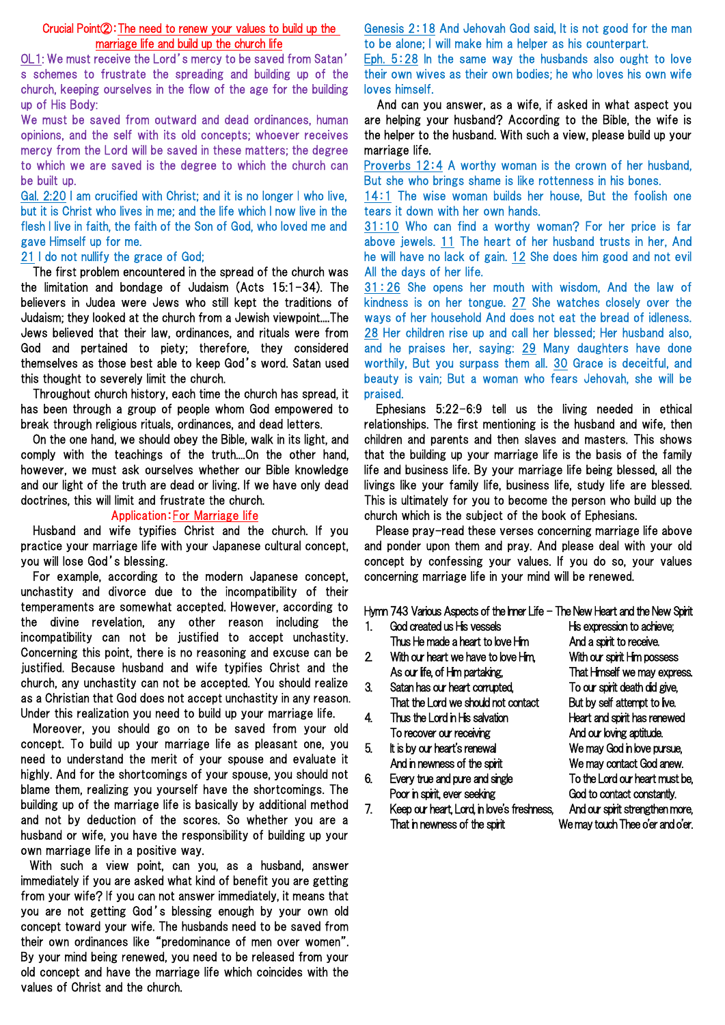#### Crucial Point②:The need to renew your values to build up the marriage life and build up the church life

OL1: We must receive the Lord's mercy to be saved from Satan' s schemes to frustrate the spreading and building up of the church, keeping ourselves in the flow of the age for the building up of His Body:

We must be saved from outward and dead ordinances, human opinions, and the self with its old concepts; whoever receives mercy from the Lord will be saved in these matters; the degree to which we are saved is the degree to which the church can be built up.

Gal. 2:20 I am crucified with Christ; and it is no longer I who live, but it is Christ who lives in me; and the life which I now live in the flesh I live in faith, the faith of the Son of God, who loved me and gave Himself up for me.

#### 21 I do not nullify the grace of God;

The first problem encountered in the spread of the church was the limitation and bondage of Judaism (Acts 15:1-34). The believers in Judea were Jews who still kept the traditions of Judaism; they looked at the church from a Jewish viewpoint....The Jews believed that their law, ordinances, and rituals were from God and pertained to piety; therefore, they considered themselves as those best able to keep God's word. Satan used this thought to severely limit the church.

Throughout church history, each time the church has spread, it has been through a group of people whom God empowered to break through religious rituals, ordinances, and dead letters.

On the one hand, we should obey the Bible, walk in its light, and comply with the teachings of the truth....On the other hand, however, we must ask ourselves whether our Bible knowledge and our light of the truth are dead or living. If we have only dead doctrines, this will limit and frustrate the church.

#### Application:For Marriage life

Husband and wife typifies Christ and the church. If you practice your marriage life with your Japanese cultural concept, you will lose God's blessing.

For example, according to the modern Japanese concept, unchastity and divorce due to the incompatibility of their temperaments are somewhat accepted. However, according to the divine revelation, any other reason including the incompatibility can not be justified to accept unchastity. Concerning this point, there is no reasoning and excuse can be justified. Because husband and wife typifies Christ and the church, any unchastity can not be accepted. You should realize as a Christian that God does not accept unchastity in any reason. Under this realization you need to build up your marriage life.

Moreover, you should go on to be saved from your old concept. To build up your marriage life as pleasant one, you need to understand the merit of your spouse and evaluate it highly. And for the shortcomings of your spouse, you should not blame them, realizing you yourself have the shortcomings. The building up of the marriage life is basically by additional method and not by deduction of the scores. So whether you are a husband or wife, you have the responsibility of building up your own marriage life in a positive way.

With such a view point, can you, as a husband, answer immediately if you are asked what kind of benefit you are getting from your wife? If you can not answer immediately, it means that you are not getting God's blessing enough by your own old concept toward your wife. The husbands need to be saved from their own ordinances like "predominance of men over women". By your mind being renewed, you need to be released from your old concept and have the marriage life which coincides with the values of Christ and the church.

Genesis 2:18 And Jehovah God said, It is not good for the man to be alone; I will make him a helper as his counterpart.

Eph. 5:28 In the same way the husbands also ought to love their own wives as their own bodies; he who loves his own wife loves himself.

And can you answer, as a wife, if asked in what aspect you are helping your husband? According to the Bible, the wife is the helper to the husband. With such a view, please build up your marriage life.

Proverbs 12:4 A worthy woman is the crown of her husband, But she who brings shame is like rottenness in his bones.

14:1 The wise woman builds her house, But the foolish one tears it down with her own hands.

31:10 Who can find a worthy woman? For her price is far above jewels. 11 The heart of her husband trusts in her, And he will have no lack of gain. 12 She does him good and not evil All the days of her life.

31:26 She opens her mouth with wisdom, And the law of kindness is on her tongue. 27 She watches closely over the ways of her household And does not eat the bread of idleness. 28 Her children rise up and call her blessed; Her husband also, and he praises her, saying: 29 Many daughters have done worthily, But you surpass them all. 30 Grace is deceitful, and beauty is vain; But a woman who fears Jehovah, she will be praised.

Ephesians 5:22-6:9 tell us the living needed in ethical relationships. The first mentioning is the husband and wife, then children and parents and then slaves and masters. This shows that the building up your marriage life is the basis of the family life and business life. By your marriage life being blessed, all the livings like your family life, business life, study life are blessed. This is ultimately for you to become the person who build up the church which is the subject of the book of Ephesians.

Please pray-read these verses concerning marriage life above and ponder upon them and pray. And please deal with your old concept by confessing your values. If you do so, your values concerning marriage life in your mind will be renewed.

Hymn 743 Various Aspects of the Inner Life - The New Heart and the New Spirit

- 1. God created us His vessels His expression to achieve; Thus He made a heart to love Him And a spirit to receive. 2. With our heart we have to love Him, With our spirit Him possess As our life, of Him partaking, That Himself we may express. 3. Satan has our heart corrupted, To our spirit death did give, That the Lord we should not contact But by self attempt to ive. 4. Thus the Lord in His salvation Heart and spirit has renewed To recover our receiving To recover our receiving And our loving aptitude.
- 5. It is by our heart's renewal We may God in love pursue,
- 6. Every true and pure and single To the Lord our heart must be, Poor in spirit, ever seeking God to contact constantly.
- And in newness of the spirit We may contact God anew.
- 7. Keep our heart, Lord, in love's freshness, And our spirit strengthen more, That in newness of the spirit We may touch Thee o'er and o'er.